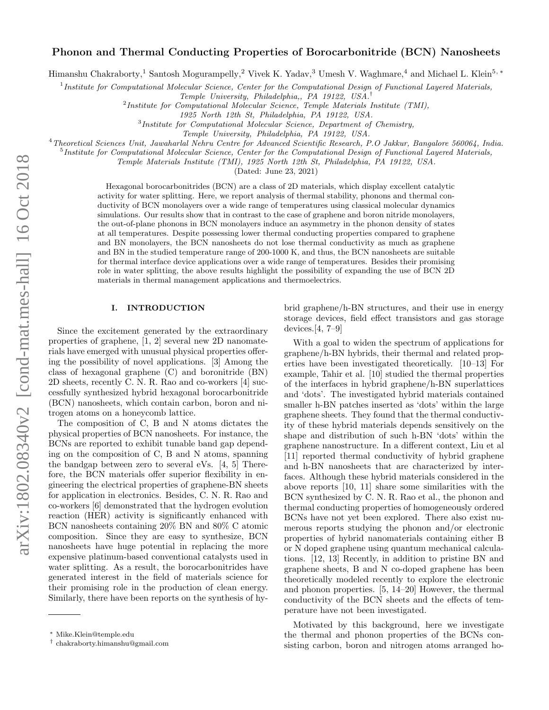# Phonon and Thermal Conducting Properties of Borocarbonitride (BCN) Nanosheets

Himanshu Chakraborty,<sup>1</sup> Santosh Mogurampelly,<sup>2</sup> Vivek K. Yadav,<sup>3</sup> Umesh V. Waghmare,<sup>4</sup> and Michael L. Klein<sup>5,</sup> \*

<sup>1</sup> Institute for Computational Molecular Science, Center for the Computational Design of Functional Layered Materials,

<sup>2</sup> Institute for Computational Molecular Science, Temple Materials Institute (TMI),

<sup>3</sup>Institute for Computational Molecular Science, Department of Chemistry,

<sup>4</sup>Theoretical Sciences Unit, Jawaharlal Nehru Centre for Advanced Scientific Research, P.O Jakkur, Bangalore 560064, India.

<sup>5</sup>Institute for Computational Molecular Science, Center for the Computational Design of Functional Layered Materials,

Temple Materials Institute (TMI), 1925 North 12th St, Philadelphia, PA 19122, USA.

(Dated: June 23, 2021)

Hexagonal borocarbonitrides (BCN) are a class of 2D materials, which display excellent catalytic activity for water splitting. Here, we report analysis of thermal stability, phonons and thermal conductivity of BCN monolayers over a wide range of temperatures using classical molecular dynamics simulations. Our results show that in contrast to the case of graphene and boron nitride monolayers, the out-of-plane phonons in BCN monolayers induce an asymmetry in the phonon density of states at all temperatures. Despite possessing lower thermal conducting properties compared to graphene and BN monolayers, the BCN nanosheets do not lose thermal conductivity as much as graphene and BN in the studied temperature range of 200-1000 K, and thus, the BCN nanosheets are suitable for thermal interface device applications over a wide range of temperatures. Besides their promising role in water splitting, the above results highlight the possibility of expanding the use of BCN 2D materials in thermal management applications and thermoelectrics.

### I. INTRODUCTION

Since the excitement generated by the extraordinary properties of graphene, [1, 2] several new 2D nanomaterials have emerged with unusual physical properties offering the possibility of novel applications. [3] Among the class of hexagonal graphene (C) and boronitride (BN) 2D sheets, recently C. N. R. Rao and co-workers [4] successfully synthesized hybrid hexagonal borocarbonitride (BCN) nanosheets, which contain carbon, boron and nitrogen atoms on a honeycomb lattice.

The composition of C, B and N atoms dictates the physical properties of BCN nanosheets. For instance, the BCNs are reported to exhibit tunable band gap depending on the composition of C, B and N atoms, spanning the bandgap between zero to several eVs. [4, 5] Therefore, the BCN materials offer superior flexibility in engineering the electrical properties of graphene-BN sheets for application in electronics. Besides, C. N. R. Rao and co-workers [6] demonstrated that the hydrogen evolution reaction (HER) activity is significantly enhanced with BCN nanosheets containing 20% BN and 80% C atomic composition. Since they are easy to synthesize, BCN nanosheets have huge potential in replacing the more expensive platinum-based conventional catalysts used in water splitting. As a result, the borocarbonitrides have generated interest in the field of materials science for their promising role in the production of clean energy. Similarly, there have been reports on the synthesis of hy-

brid graphene/h-BN structures, and their use in energy storage devices, field effect transistors and gas storage devices.[4, 7–9]

With a goal to widen the spectrum of applications for graphene/h-BN hybrids, their thermal and related properties have been investigated theoretically. [10–13] For example, Tahir et al. [10] studied the thermal properties of the interfaces in hybrid graphene/h-BN superlattices and 'dots'. The investigated hybrid materials contained smaller h-BN patches inserted as 'dots' within the large graphene sheets. They found that the thermal conductivity of these hybrid materials depends sensitively on the shape and distribution of such h-BN 'dots' within the graphene nanostructure. In a different context, Liu et al [11] reported thermal conductivity of hybrid graphene and h-BN nanosheets that are characterized by interfaces. Although these hybrid materials considered in the above reports [10, 11] share some similarities with the BCN synthesized by C. N. R. Rao et al., the phonon and thermal conducting properties of homogeneously ordered BCNs have not yet been explored. There also exist numerous reports studying the phonon and/or electronic properties of hybrid nanomaterials containing either B or N doped graphene using quantum mechanical calculations. [12, 13] Recently, in addition to pristine BN and graphene sheets, B and N co-doped graphene has been theoretically modeled recently to explore the electronic and phonon properties. [5, 14–20] However, the thermal conductivity of the BCN sheets and the effects of temperature have not been investigated.

Motivated by this background, here we investigate the thermal and phonon properties of the BCNs consisting carbon, boron and nitrogen atoms arranged ho-

Temple University, Philadelphia,, PA 19122, USA.†

<sup>1925</sup> North 12th St, Philadelphia, PA 19122, USA.

Temple University, Philadelphia, PA 19122, USA.

<sup>∗</sup> Mike.Klein@temple.edu

<sup>†</sup> chakraborty.himanshu@gmail.com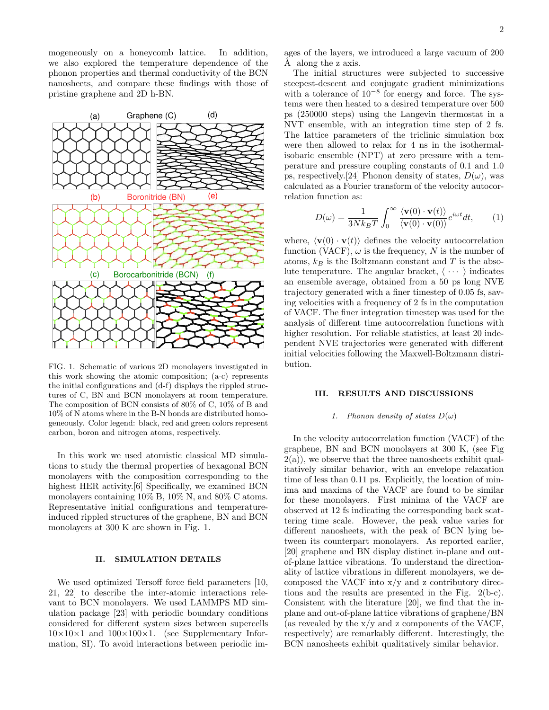mogeneously on a honeycomb lattice. In addition, we also explored the temperature dependence of the phonon properties and thermal conductivity of the BCN nanosheets, and compare these findings with those of pristine graphene and 2D h-BN.



FIG. 1. Schematic of various 2D monolayers investigated in this work showing the atomic composition; (a-c) represents the initial configurations and (d-f) displays the rippled structures of C, BN and BCN monolayers at room temperature. The composition of BCN consists of 80% of C, 10% of B and 10% of N atoms where in the B-N bonds are distributed homogeneously. Color legend: black, red and green colors represent carbon, boron and nitrogen atoms, respectively.

In this work we used atomistic classical MD simulations to study the thermal properties of hexagonal BCN monolayers with the composition corresponding to the highest HER activity.[6] Specifically, we examined BCN monolayers containing 10% B, 10% N, and 80% C atoms. Representative initial configurations and temperatureinduced rippled structures of the graphene, BN and BCN monolayers at 300 K are shown in Fig. 1.

## II. SIMULATION DETAILS

We used optimized Tersoff force field parameters [10, 21, 22] to describe the inter-atomic interactions relevant to BCN monolayers. We used LAMMPS MD simulation package [23] with periodic boundary conditions considered for different system sizes between supercells  $10\times10\times1$  and  $100\times100\times1$ . (see Supplementary Information, SI). To avoid interactions between periodic images of the layers, we introduced a large vacuum of 200 A along the z axis.

The initial structures were subjected to successive steepest-descent and conjugate gradient minimizations with a tolerance of  $10^{-8}$  for energy and force. The systems were then heated to a desired temperature over 500 ps (250000 steps) using the Langevin thermostat in a NVT ensemble, with an integration time step of 2 fs. The lattice parameters of the triclinic simulation box were then allowed to relax for 4 ns in the isothermalisobaric ensemble (NPT) at zero pressure with a temperature and pressure coupling constants of 0.1 and 1.0 ps, respectively.[24] Phonon density of states,  $D(\omega)$ , was calculated as a Fourier transform of the velocity autocorrelation function as:

$$
D(\omega) = \frac{1}{3Nk_BT} \int_0^\infty \frac{\langle \mathbf{v}(0) \cdot \mathbf{v}(t) \rangle}{\langle \mathbf{v}(0) \cdot \mathbf{v}(0) \rangle} e^{i\omega t} dt, \qquad (1)
$$

where,  $\langle \mathbf{v}(0) \cdot \mathbf{v}(t) \rangle$  defines the velocity autocorrelation function (VACF),  $\omega$  is the frequency, N is the number of atoms,  $k_B$  is the Boltzmann constant and T is the absolute temperature. The angular bracket,  $\langle \cdots \rangle$  indicates an ensemble average, obtained from a 50 ps long NVE trajectory generated with a finer timestep of 0.05 fs, saving velocities with a frequency of 2 fs in the computation of VACF. The finer integration timestep was used for the analysis of different time autocorrelation functions with higher resolution. For reliable statistics, at least 20 independent NVE trajectories were generated with different initial velocities following the Maxwell-Boltzmann distribution.

## III. RESULTS AND DISCUSSIONS

#### 1. Phonon density of states  $D(\omega)$

In the velocity autocorrelation function (VACF) of the graphene, BN and BCN monolayers at 300 K, (see Fig  $2(a)$ , we observe that the three nanosheets exhibit qualitatively similar behavior, with an envelope relaxation time of less than 0.11 ps. Explicitly, the location of minima and maxima of the VACF are found to be similar for these monolayers. First minima of the VACF are observed at 12 fs indicating the corresponding back scattering time scale. However, the peak value varies for different nanosheets, with the peak of BCN lying between its counterpart monolayers. As reported earlier, [20] graphene and BN display distinct in-plane and outof-plane lattice vibrations. To understand the directionality of lattice vibrations in different monolayers, we decomposed the VACF into x/y and z contributory directions and the results are presented in the Fig. 2(b-c). Consistent with the literature [20], we find that the inplane and out-of-plane lattice vibrations of graphene/BN (as revealed by the  $x/y$  and z components of the VACF, respectively) are remarkably different. Interestingly, the BCN nanosheets exhibit qualitatively similar behavior.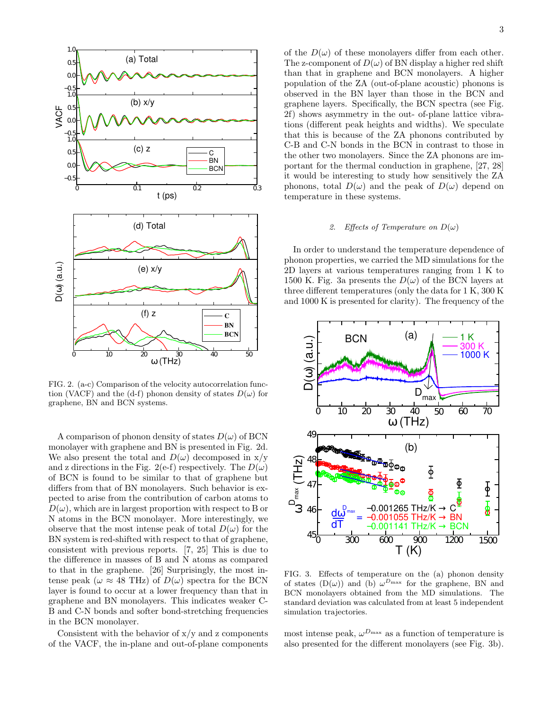

FIG. 2. (a-c) Comparison of the velocity autocorrelation function (VACF) and the (d-f) phonon density of states  $D(\omega)$  for graphene, BN and BCN systems.

A comparison of phonon density of states  $D(\omega)$  of BCN monolayer with graphene and BN is presented in Fig. 2d. We also present the total and  $D(\omega)$  decomposed in x/y and z directions in the Fig. 2(e-f) respectively. The  $D(\omega)$ of BCN is found to be similar to that of graphene but differs from that of BN monolayers. Such behavior is expected to arise from the contribution of carbon atoms to  $D(\omega)$ , which are in largest proportion with respect to B or N atoms in the BCN monolayer. More interestingly, we observe that the most intense peak of total  $D(\omega)$  for the BN system is red-shifted with respect to that of graphene, consistent with previous reports. [7, 25] This is due to the difference in masses of B and N atoms as compared to that in the graphene. [26] Surprisingly, the most intense peak ( $\omega \approx 48$  THz) of  $D(\omega)$  spectra for the BCN layer is found to occur at a lower frequency than that in graphene and BN monolayers. This indicates weaker C-B and C-N bonds and softer bond-stretching frequencies in the BCN monolayer.

Consistent with the behavior of  $x/y$  and z components of the VACF, the in-plane and out-of-plane components of the  $D(\omega)$  of these monolayers differ from each other. The z-component of  $D(\omega)$  of BN display a higher red shift than that in graphene and BCN monolayers. A higher population of the ZA (out-of-plane acoustic) phonons is observed in the BN layer than those in the BCN and graphene layers. Specifically, the BCN spectra (see Fig. 2f) shows asymmetry in the out- of-plane lattice vibrations (different peak heights and widths). We speculate that this is because of the ZA phonons contributed by C-B and C-N bonds in the BCN in contrast to those in the other two monolayers. Since the ZA phonons are important for the thermal conduction in graphene, [27, 28] it would be interesting to study how sensitively the ZA phonons, total  $D(\omega)$  and the peak of  $D(\omega)$  depend on temperature in these systems.

### 2. Effects of Temperature on  $D(\omega)$

In order to understand the temperature dependence of phonon properties, we carried the MD simulations for the 2D layers at various temperatures ranging from 1 K to 1500 K. Fig. 3a presents the  $D(\omega)$  of the BCN layers at three different temperatures (only the data for 1 K, 300 K and 1000 K is presented for clarity). The frequency of the



FIG. 3. Effects of temperature on the (a) phonon density of states  $(D(\omega))$  and (b)  $\omega^{D_{\text{max}}}$  for the graphene, BN and BCN monolayers obtained from the MD simulations. The standard deviation was calculated from at least 5 independent simulation trajectories.

most intense peak,  $\omega^{D_{\text{max}}}$  as a function of temperature is also presented for the different monolayers (see Fig. 3b).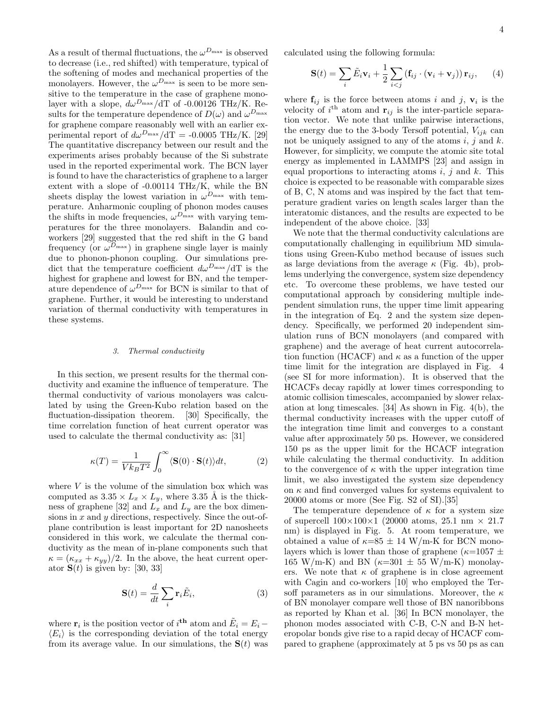As a result of thermal fluctuations, the  $\omega^{D_{\max}}$  is observed to decrease (i.e., red shifted) with temperature, typical of the softening of modes and mechanical properties of the monolayers. However, the  $\omega^{D_{\text{max}}}$  is seen to be more sensitive to the temperature in the case of graphene monolayer with a slope,  $d\omega^{D_{\text{max}}}/dT$  of -0.00126 THz/K. Results for the temperature dependence of  $D(\omega)$  and  $\omega^{D_{\max}}$ for graphene compare reasonably well with an earlier experimental report of  $d\omega^{D_{\text{max}}}/dT = -0.0005 \text{ THz/K}$ . [29] The quantitative discrepancy between our result and the experiments arises probably because of the Si substrate used in the reported experimental work. The BCN layer is found to have the characteristics of graphene to a larger extent with a slope of -0.00114 THz/K, while the BN sheets display the lowest variation in  $\omega^{D_{\text{max}}}$  with temperature. Anharmonic coupling of phonon modes causes the shifts in mode frequencies,  $\omega^{D_{\text{max}}}$  with varying temperatures for the three monolayers. Balandin and coworkers [29] suggested that the red shift in the G band frequency (or  $\omega^{D_{\text{max}}}$ ) in graphene single layer is mainly due to phonon-phonon coupling. Our simulations predict that the temperature coefficient  $d\omega^{D_{\text{max}}}/dT$  is the highest for graphene and lowest for BN, and the temperature dependence of  $\omega^{D_{\text{max}}}$  for BCN is similar to that of graphene. Further, it would be interesting to understand variation of thermal conductivity with temperatures in these systems.

#### 3. Thermal conductivity

In this section, we present results for the thermal conductivity and examine the influence of temperature. The thermal conductivity of various monolayers was calculated by using the Green-Kubo relation based on the fluctuation-dissipation theorem. [30] Specifically, the time correlation function of heat current operator was used to calculate the thermal conductivity as: [31]

$$
\kappa(T) = \frac{1}{V k_B T^2} \int_0^\infty \langle \mathbf{S}(0) \cdot \mathbf{S}(t) \rangle dt, \tag{2}
$$

where  $V$  is the volume of the simulation box which was computed as  $3.35 \times L_x \times L_y$ , where  $3.35$  Å is the thickness of graphene [32] and  $L_x$  and  $L_y$  are the box dimensions in  $x$  and  $y$  directions, respectively. Since the out-ofplane contribution is least important for 2D nanosheets considered in this work, we calculate the thermal conductivity as the mean of in-plane components such that  $\kappa = (\kappa_{xx} + \kappa_{yy})/2$ . In the above, the heat current operator  $S(t)$  is given by: [30, 33]

$$
\mathbf{S}(t) = \frac{d}{dt} \sum_{i} \mathbf{r}_{i} \tilde{E}_{i}, \qquad (3)
$$

where  $\mathbf{r}_i$  is the position vector of  $i^{\text{th}}$  atom and  $\tilde{E}_i = E_i \langle E_i \rangle$  is the corresponding deviation of the total energy from its average value. In our simulations, the  $S(t)$  was calculated using the following formula:

$$
\mathbf{S}(t) = \sum_{i} \tilde{E}_i \mathbf{v}_i + \frac{1}{2} \sum_{i < j} \left( \mathbf{f}_{ij} \cdot (\mathbf{v}_i + \mathbf{v}_j) \right) \mathbf{r}_{ij}, \qquad (4)
$$

where  $f_{ij}$  is the force between atoms i and j,  $v_i$  is the velocity of  $i^{\text{th}}$  atom and  $\mathbf{r}_{ij}$  is the inter-particle separation vector. We note that unlike pairwise interactions, the energy due to the 3-body Tersoff potential,  $V_{ijk}$  can not be uniquely assigned to any of the atoms  $i, j$  and  $k$ . However, for simplicity, we compute the atomic site total energy as implemented in LAMMPS [23] and assign in equal proportions to interacting atoms  $i, j$  and  $k$ . This choice is expected to be reasonable with comparable sizes of B, C, N atoms and was inspired by the fact that temperature gradient varies on length scales larger than the interatomic distances, and the results are expected to be independent of the above choice. [33]

We note that the thermal conductivity calculations are computationally challenging in equilibrium MD simulations using Green-Kubo method because of issues such as large deviations from the average  $\kappa$  (Fig. 4b), problems underlying the convergence, system size dependency etc. To overcome these problems, we have tested our computational approach by considering multiple independent simulation runs, the upper time limit appearing in the integration of Eq. 2 and the system size dependency. Specifically, we performed 20 independent simulation runs of BCN monolayers (and compared with graphene) and the average of heat current autocorrelation function (HCACF) and  $\kappa$  as a function of the upper time limit for the integration are displayed in Fig. 4 (see SI for more information). It is observed that the HCACFs decay rapidly at lower times corresponding to atomic collision timescales, accompanied by slower relaxation at long timescales. [34] As shown in Fig. 4(b), the thermal conductivity increases with the upper cutoff of the integration time limit and converges to a constant value after approximately 50 ps. However, we considered 150 ps as the upper limit for the HCACF integration while calculating the thermal conductivity. In addition to the convergence of  $\kappa$  with the upper integration time limit, we also investigated the system size dependency on  $\kappa$  and find converged values for systems equivalent to 20000 atoms or more (See Fig. S2 of SI).[35]

The temperature dependence of  $\kappa$  for a system size of supercell  $100\times100\times1$  (20000 atoms, 25.1 nm  $\times$  21.7 nm) is displayed in Fig. 5. At room temperature, we obtained a value of  $\kappa=85\pm14$  W/m-K for BCN monolayers which is lower than those of graphene ( $\kappa$ =1057  $\pm$ ) 165 W/m-K) and BN ( $\kappa$ =301  $\pm$  55 W/m-K) monolayers. We note that  $\kappa$  of graphene is in close agreement with Cagin and co-workers [10] who employed the Tersoff parameters as in our simulations. Moreover, the  $\kappa$ of BN monolayer compare well those of BN nanoribbons as reported by Khan et al. [36] In BCN monolayer, the phonon modes associated with C-B, C-N and B-N heteropolar bonds give rise to a rapid decay of HCACF compared to graphene (approximately at 5 ps vs 50 ps as can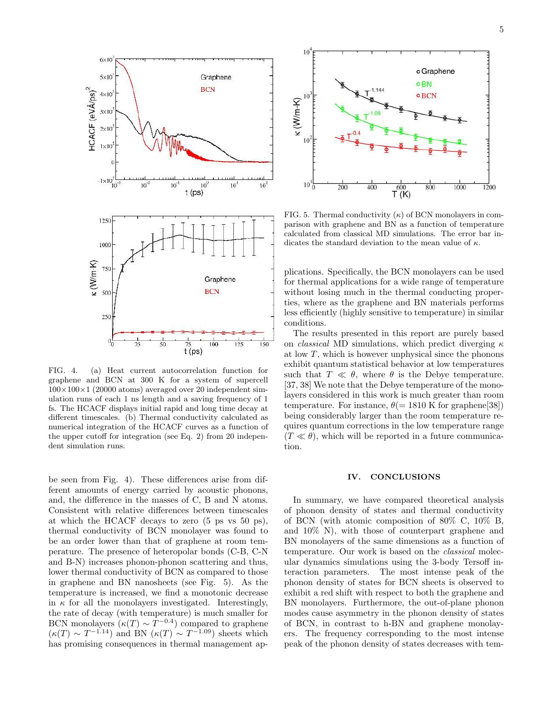

FIG. 4. (a) Heat current autocorrelation function for graphene and BCN at 300 K for a system of supercell  $100\times100\times1$  (20000 atoms) averaged over 20 independent simulation runs of each 1 ns length and a saving frequency of 1 fs. The HCACF displays initial rapid and long time decay at different timescales. (b) Thermal conductivity calculated as numerical integration of the HCACF curves as a function of the upper cutoff for integration (see Eq. 2) from 20 independent simulation runs.

be seen from Fig. 4). These differences arise from different amounts of energy carried by acoustic phonons, and, the difference in the masses of C, B and N atoms. Consistent with relative differences between timescales at which the HCACF decays to zero (5 ps vs 50 ps), thermal conductivity of BCN monolayer was found to be an order lower than that of graphene at room temperature. The presence of heteropolar bonds (C-B, C-N and B-N) increases phonon-phonon scattering and thus, lower thermal conductivity of BCN as compared to those in graphene and BN nanosheets (see Fig. 5). As the temperature is increased, we find a monotonic decrease in  $\kappa$  for all the monolayers investigated. Interestingly, the rate of decay (with temperature) is much smaller for BCN monolayers  $(\kappa(T) \sim T^{-0.4})$  compared to graphene  $(\kappa(T) \sim T^{-1.14})$  and BN  $(\kappa(T) \sim T^{-1.09})$  sheets which has promising consequences in thermal management ap-



FIG. 5. Thermal conductivity  $(\kappa)$  of BCN monolayers in comparison with graphene and BN as a function of temperature calculated from classical MD simulations. The error bar indicates the standard deviation to the mean value of  $\kappa$ .

plications. Specifically, the BCN monolayers can be used for thermal applications for a wide range of temperature without losing much in the thermal conducting properties, where as the graphene and BN materials performs less efficiently (highly sensitive to temperature) in similar conditions.

The results presented in this report are purely based on *classical* MD simulations, which predict diverging  $\kappa$ at low  $T$ , which is however unphysical since the phonons exhibit quantum statistical behavior at low temperatures such that  $T \ll \theta$ , where  $\theta$  is the Debye temperature. [37, 38] We note that the Debye temperature of the monolayers considered in this work is much greater than room temperature. For instance,  $\theta$ (= 1810 K for graphene[38]) being considerably larger than the room temperature requires quantum corrections in the low temperature range  $(T \ll \theta)$ , which will be reported in a future communication.

### IV. CONCLUSIONS

In summary, we have compared theoretical analysis of phonon density of states and thermal conductivity of BCN (with atomic composition of 80% C, 10% B, and 10% N), with those of counterpart graphene and BN monolayers of the same dimensions as a function of temperature. Our work is based on the classical molecular dynamics simulations using the 3-body Tersoff interaction parameters. The most intense peak of the phonon density of states for BCN sheets is observed to exhibit a red shift with respect to both the graphene and BN monolayers. Furthermore, the out-of-plane phonon modes cause asymmetry in the phonon density of states of BCN, in contrast to h-BN and graphene monolayers. The frequency corresponding to the most intense peak of the phonon density of states decreases with tem